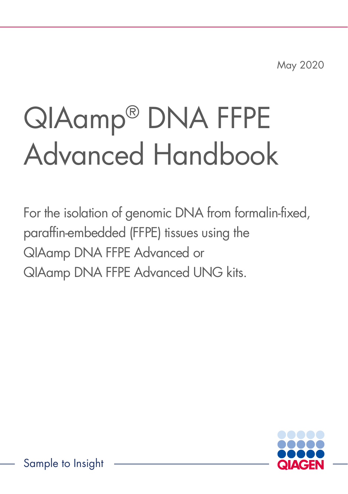May 2020

# QIAamp® DNA FFPE Advanced Handbook

For the isolation of genomic DNA from formalin-fixed, paraffin-embedded (FFPE) tissues using the QIAamp DNA FFPE Advanced or QIAamp DNA FFPE Advanced UNG kits.

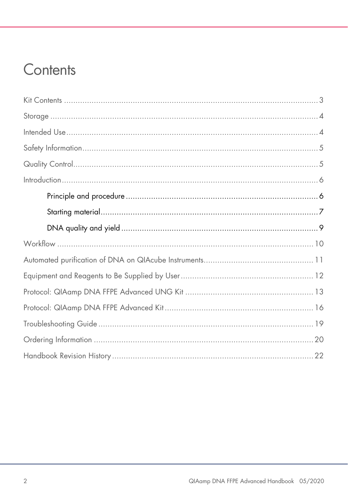### Contents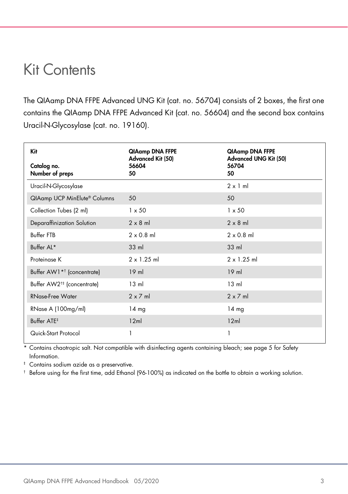#### <span id="page-2-0"></span>Kit Contents

The QIAamp DNA FFPE Advanced UNG Kit (cat. no. 56704) consists of 2 boxes, the first one contains the QIAamp DNA FFPE Advanced Kit (cat. no. 56604) and the second box contains Uracil-N-Glycosylase (cat. no. 19160).

| Kit                                    | QIAamp DNA FFPE<br>Advanced Kit (50) | QIAamp DNA FFPE<br><b>Advanced UNG Kit (50)</b> |
|----------------------------------------|--------------------------------------|-------------------------------------------------|
| Catalog no.<br>Number of preps         | 56604<br>50                          | 56704<br>50                                     |
| Uracil-N-Glycosylase                   |                                      | $2 \times 1$ ml                                 |
| QIAamp UCP MinElute® Columns           | 50                                   | 50                                              |
| Collection Tubes (2 ml)                | $1 \times 50$                        | $1 \times 50$                                   |
| Deparaffinization Solution             | $2 \times 8$ m                       | $2 \times 8$ m                                  |
| Buffer FTB                             | $2 \times 0.8$ ml                    | $2 \times 0.8$ ml                               |
| Buffer AL*                             | $33 \text{ ml}$                      | $33$ m                                          |
| Proteinase K                           | $2 \times 1.25$ ml                   | $2 \times 1.25$ ml                              |
| Buffer AW1 <sup>*†</sup> (concentrate) | $19$ ml                              | $19$ m                                          |
| Buffer AW2 <sup>†‡</sup> (concentrate) | $13 \text{ ml}$                      | $13 \text{ ml}$                                 |
| <b>RNase-Free Water</b>                | $2 \times 7$ ml                      | $2 \times 7$ ml                                 |
| RNase A (100mg/ml)                     | 14 mg                                | $14 \text{ mg}$                                 |
| Buffer ATE <sup>#</sup>                | 12ml                                 | 12ml                                            |
| Quick-Start Protocol                   | 1                                    | 1                                               |

Contains chaotropic salt. Not compatible with disinfecting agents containing bleach; see page [5](#page-4-0) for Safety [Information.](#page-4-0)

‡ Contains sodium azide as a preservative.

 $\dagger$  Before using for the first time, add Ethanol (96-100%) as indicated on the bottle to obtain a working solution.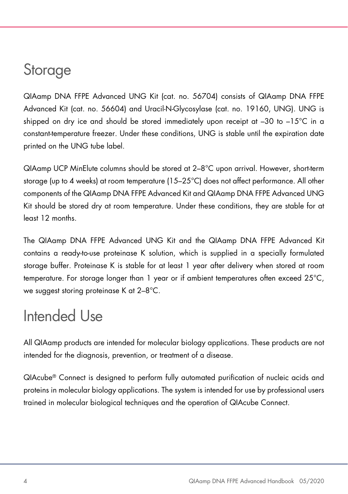### <span id="page-3-0"></span>**Storage**

QIAamp DNA FFPE Advanced UNG Kit (cat. no. 56704) consists of QIAamp DNA FFPE Advanced Kit (cat. no. 56604) and Uracil-N-Glycosylase (cat. no. 19160, UNG). UNG is shipped on dry ice and should be stored immediately upon receipt at –30 to –15°C in a constant-temperature freezer. Under these conditions, UNG is stable until the expiration date printed on the UNG tube label.

QIAamp UCP MinElute columns should be stored at 2–8°C upon arrival. However, short-term storage (up to 4 weeks) at room temperature (15–25°C) does not affect performance. All other components of the QIAamp DNA FFPE Advanced Kit and QIAamp DNA FFPE Advanced UNG Kit should be stored dry at room temperature. Under these conditions, they are stable for at least 12 months.

The QIAamp DNA FFPE Advanced UNG Kit and the QIAamp DNA FFPE Advanced Kit contains a ready-to-use proteinase K solution, which is supplied in a specially formulated storage buffer. Proteinase K is stable for at least 1 year after delivery when stored at room temperature. For storage longer than 1 year or if ambient temperatures often exceed 25°C, we suggest storing proteinase K at 2–8°C.

#### <span id="page-3-1"></span>Intended Use

All QIAamp products are intended for molecular biology applications. These products are not intended for the diagnosis, prevention, or treatment of a disease.

QIAcube® Connect is designed to perform fully automated purification of nucleic acids and proteins in molecular biology applications. The system is intended for use by professional users trained in molecular biological techniques and the operation of QIAcube Connect.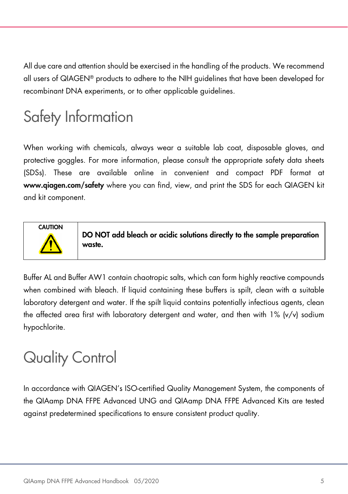All due care and attention should be exercised in the handling of the products. We recommend all users of QIAGEN® products to adhere to the NIH guidelines that have been developed for recombinant DNA experiments, or to other applicable guidelines.

### <span id="page-4-0"></span>Safety Information

When working with chemicals, always wear a suitable lab coat, disposable gloves, and protective goggles. For more information, please consult the appropriate safety data sheets (SDSs). These are available online in convenient and compact PDF format at www.qiagen.com/safety where you can find, view, and print the SDS for each QIAGEN kit and kit component.



DO NOT add bleach or acidic solutions directly to the sample preparation waste.

Buffer AL and Buffer AW1 contain chaotropic salts, which can form highly reactive compounds when combined with bleach. If liquid containing these buffers is spilt, clean with a suitable laboratory detergent and water. If the spilt liquid contains potentially infectious agents, clean the affected area first with laboratory detergent and water, and then with 1% (v/v) sodium hypochlorite.

### <span id="page-4-1"></span>Quality Control

In accordance with QIAGEN's ISO-certified Quality Management System, the components of the QIAamp DNA FFPE Advanced UNG and QIAamp DNA FFPE Advanced Kits are tested against predetermined specifications to ensure consistent product quality.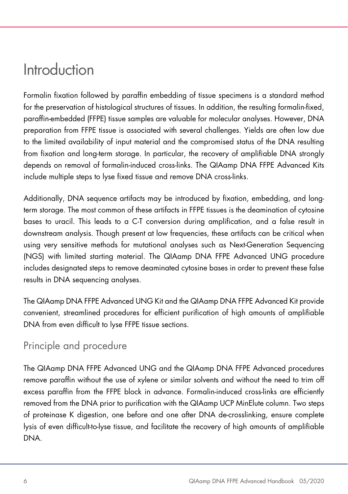#### <span id="page-5-0"></span>Introduction

Formalin fixation followed by paraffin embedding of tissue specimens is a standard method for the preservation of histological structures of tissues. In addition, the resulting formalin-fixed, paraffin-embedded (FFPE) tissue samples are valuable for molecular analyses. However, DNA preparation from FFPE tissue is associated with several challenges. Yields are often low due to the limited availability of input material and the compromised status of the DNA resulting from fixation and long-term storage. In particular, the recovery of amplifiable DNA strongly depends on removal of formalin-induced cross-links. The QIAamp DNA FFPE Advanced Kits include multiple steps to lyse fixed tissue and remove DNA cross-links.

Additionally, DNA sequence artifacts may be introduced by fixation, embedding, and longterm storage. The most common of these artifacts in FFPE tissues is the deamination of cytosine bases to uracil. This leads to a C-T conversion during amplification, and a false result in downstream analysis. Though present at low frequencies, these artifacts can be critical when using very sensitive methods for mutational analyses such as Next-Generation Sequencing (NGS) with limited starting material. The QIAamp DNA FFPE Advanced UNG procedure includes designated steps to remove deaminated cytosine bases in order to prevent these false results in DNA sequencing analyses.

The QIAamp DNA FFPE Advanced UNG Kit and the QIAamp DNA FFPE Advanced Kit provide convenient, streamlined procedures for efficient purification of high amounts of amplifiable DNA from even difficult to lyse FFPE tissue sections.

#### <span id="page-5-1"></span>Principle and procedure

The QIAamp DNA FFPE Advanced UNG and the QIAamp DNA FFPE Advanced procedures remove paraffin without the use of xylene or similar solvents and without the need to trim off excess paraffin from the FFPE block in advance. Formalin-induced cross-links are efficiently removed from the DNA prior to purification with the QIAamp UCP MinElute column. Two steps of proteinase K digestion, one before and one after DNA de-crosslinking, ensure complete lysis of even difficult-to-lyse tissue, and facilitate the recovery of high amounts of amplifiable DNA.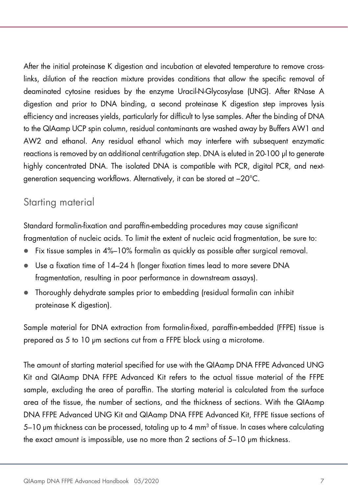After the initial proteinase K digestion and incubation at elevated temperature to remove crosslinks, dilution of the reaction mixture provides conditions that allow the specific removal of deaminated cytosine residues by the enzyme Uracil-N-Glycosylase (UNG). After RNase A digestion and prior to DNA binding, a second proteinase K digestion step improves lysis efficiency and increases yields, particularly for difficult to lyse samples. After the binding of DNA to the QIAamp UCP spin column, residual contaminants are washed away by Buffers AW1 and AW2 and ethanol. Any residual ethanol which may interfere with subsequent enzymatic reactions is removed by an additional centrifugation step. DNA is eluted in 20-100 µl to generate highly concentrated DNA. The isolated DNA is compatible with PCR, digital PCR, and nextgeneration sequencing workflows. Alternatively, it can be stored at −20°C.

#### <span id="page-6-0"></span>Starting material

Standard formalin-fixation and paraffin-embedding procedures may cause significant fragmentation of nucleic acids. To limit the extent of nucleic acid fragmentation, be sure to:

- Fix tissue samples in 4%–10% formalin as quickly as possible after surgical removal.
- Use a fixation time of 14–24 h (longer fixation times lead to more severe DNA fragmentation, resulting in poor performance in downstream assays).
- Thoroughly dehydrate samples prior to embedding (residual formalin can inhibit proteinase K digestion).

Sample material for DNA extraction from formalin-fixed, paraffin-embedded (FFPE) tissue is prepared as 5 to 10 µm sections cut from a FFPE block using a microtome.

The amount of starting material specified for use with the QIAamp DNA FFPE Advanced UNG Kit and QIAamp DNA FFPE Advanced Kit refers to the actual tissue material of the FFPE sample, excluding the area of paraffin. The starting material is calculated from the surface area of the tissue, the number of sections, and the thickness of sections. With the QIAamp DNA FFPE Advanced UNG Kit and QIAamp DNA FFPE Advanced Kit, FFPE tissue sections of 5–10 µm thickness can be processed, totaling up to 4 mm<sup>3</sup> of tissue. In cases where calculating the exact amount is impossible, use no more than 2 sections of 5–10 µm thickness.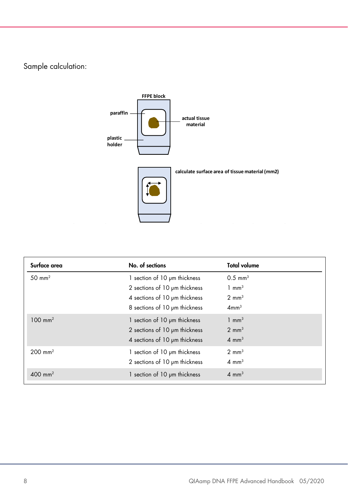Sample calculation:



| Surface area         | No. of sections               | <b>Total volume</b>   |
|----------------------|-------------------------------|-----------------------|
| $50 \text{ mm}^2$    | 1 section of 10 um thickness  | $0.5$ mm <sup>3</sup> |
|                      | 2 sections of 10 um thickness | $1 \text{ mm}^3$      |
|                      | 4 sections of 10 um thickness | $2 \text{ mm}^3$      |
|                      | 8 sections of 10 pm thickness | 4mm <sup>3</sup>      |
| $100 \text{ mm}^2$   | 1 section of 10 pm thickness  | $1 \text{ mm}^3$      |
|                      | 2 sections of 10 pm thickness | $2 \text{ mm}^3$      |
|                      | 4 sections of 10 pm thickness | $4 \text{ mm}^3$      |
| $200 \, \text{mm}^2$ | 1 section of 10 um thickness  | $2 \text{ mm}^3$      |
|                      | 2 sections of 10 µm thickness | $4 \text{ mm}^3$      |
| $400 \, \text{mm}^2$ | 1 section of 10 µm thickness  | $4 \text{ mm}^3$      |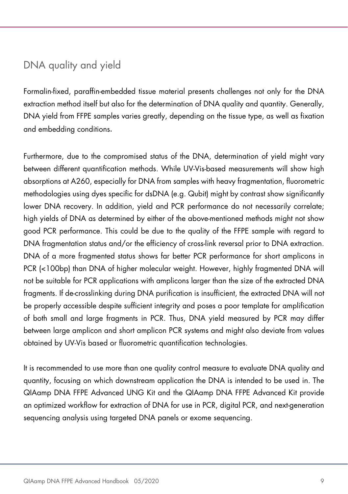#### <span id="page-8-0"></span>DNA quality and yield

Formalin-fixed, paraffin-embedded tissue material presents challenges not only for the DNA extraction method itself but also for the determination of DNA quality and quantity. Generally, DNA yield from FFPE samples varies greatly, depending on the tissue type, as well as fixation and embedding conditions.

Furthermore, due to the compromised status of the DNA, determination of yield might vary between different quantification methods. While UV-Vis-based measurements will show high absorptions at A260, especially for DNA from samples with heavy fragmentation, fluorometric methodologies using dyes specific for dsDNA (e.g. Qubit) might by contrast show significantly lower DNA recovery. In addition, yield and PCR performance do not necessarily correlate; high yields of DNA as determined by either of the above-mentioned methods might not show good PCR performance. This could be due to the quality of the FFPE sample with regard to DNA fragmentation status and/or the efficiency of cross-link reversal prior to DNA extraction. DNA of a more fragmented status shows far better PCR performance for short amplicons in PCR (<100bp) than DNA of higher molecular weight. However, highly fragmented DNA will not be suitable for PCR applications with amplicons larger than the size of the extracted DNA fragments. If de-crosslinking during DNA purification is insufficient, the extracted DNA will not be properly accessible despite sufficient integrity and poses a poor template for amplification of both small and large fragments in PCR. Thus, DNA yield measured by PCR may differ between large amplicon and short amplicon PCR systems and might also deviate from values obtained by UV-Vis based or fluorometric quantification technologies.

It is recommended to use more than one quality control measure to evaluate DNA quality and quantity, focusing on which downstream application the DNA is intended to be used in. The QIAamp DNA FFPE Advanced UNG Kit and the QIAamp DNA FFPE Advanced Kit provide an optimized workflow for extraction of DNA for use in PCR, digital PCR, and next-generation sequencing analysis using targeted DNA panels or exome sequencing.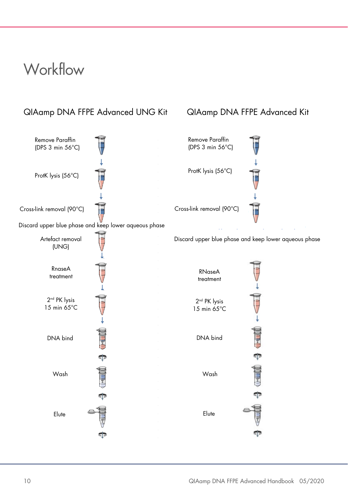#### <span id="page-9-0"></span>**Workflow**

#### QIAamp DNA FFPE Advanced UNG Kit QIAamp DNA FFPE Advanced Kit

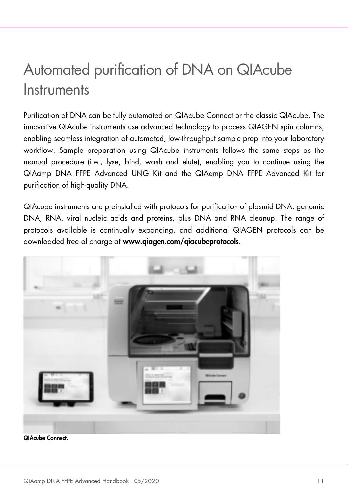### <span id="page-10-0"></span>Automated purification of DNA on QIAcube **Instruments**

Purification of DNA can be fully automated on QIAcube Connect or the classic QIAcube. The innovative QIAcube instruments use advanced technology to process QIAGEN spin columns, enabling seamless integration of automated, low-throughput sample prep into your laboratory workflow. Sample preparation using QIAcube instruments follows the same steps as the manual procedure (i.e., lyse, bind, wash and elute), enabling you to continue using the QIAamp DNA FFPE Advanced UNG Kit and the QIAamp DNA FFPE Advanced Kit for purification of high-quality DNA.

QIAcube instruments are preinstalled with protocols for purification of plasmid DNA, genomic DNA, RNA, viral nucleic acids and proteins, plus DNA and RNA cleanup. The range of protocols available is continually expanding, and additional QIAGEN protocols can be downloaded free of charge at www.qiagen.com/qiacubeprotocols.



QIAcube Connect.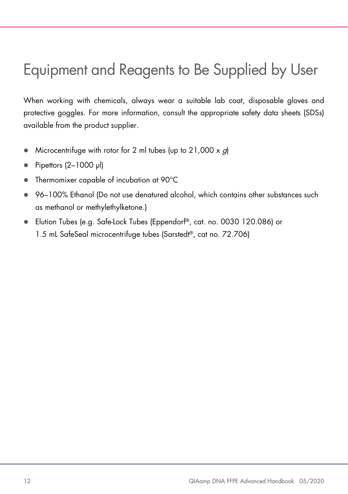### <span id="page-11-0"></span>Equipment and Reagents to Be Supplied by User

When working with chemicals, always wear a suitable lab coat, disposable gloves and protective goggles. For more information, consult the appropriate safety data sheets (SDSs) available from the product supplier.

- Microcentrifuge with rotor for 2 ml tubes (up to  $21,000 \times g$ )
- $\bullet$  Pipettors (2-1000 µl)
- Thermomixer capable of incubation at 90°C
- 96–100% Ethanol (Do not use denatured alcohol, which contains other substances such as methanol or methylethylketone.)
- Elution Tubes (e.g. Safe-Lock Tubes (Eppendorf®, cat. no. 0030 120.086) or 1.5 mL SafeSeal microcentrifuge tubes (Sarstedt®, cat no. 72.706)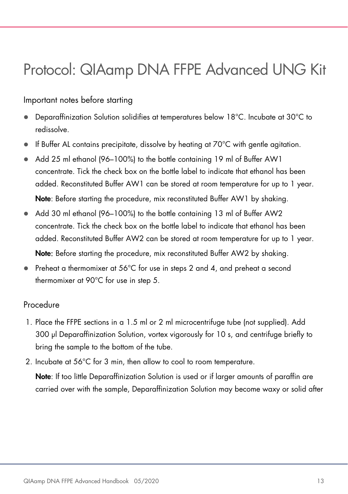### <span id="page-12-0"></span>Protocol: QIAamp DNA FFPE Advanced UNG Kit

#### <span id="page-12-1"></span>Important notes before starting

- Deparaffinization Solution solidifies at temperatures below 18°C. Incubate at 30°C to redissolve.
- $\bullet$  If Buffer AL contains precipitate, dissolve by heating at 70 $\degree$ C with gentle agitation.
- Add 25 ml ethanol (96–100%) to the bottle containing 19 ml of Buffer AW1 concentrate. Tick the check box on the bottle label to indicate that ethanol has been added. Reconstituted Buffer AW1 can be stored at room temperature for up to 1 year. Note: Before starting the procedure, mix reconstituted Buffer AW1 by shaking.
- Add 30 ml ethanol (96–100%) to the bottle containing 13 ml of Buffer AW2 concentrate. Tick the check box on the bottle label to indicate that ethanol has been added. Reconstituted Buffer AW2 can be stored at room temperature for up to 1 year. Note: Before starting the procedure, mix reconstituted Buffer AW2 by shaking.
- Preheat a thermomixer at 56°C for use in steps 2 and 4, and preheat a second thermomixer at 90°C for use in step 5.

#### Procedure

- 1. Place the FFPE sections in a 1.5 ml or 2 ml microcentrifuge tube (not supplied). Add 300 µl Deparaffinization Solution, vortex vigorously for 10 s, and centrifuge briefly to bring the sample to the bottom of the tube.
- 2. Incubate at 56°C for 3 min, then allow to cool to room temperature.

Note: If too little Deparaffinization Solution is used or if larger amounts of paraffin are carried over with the sample, Deparaffinization Solution may become waxy or solid after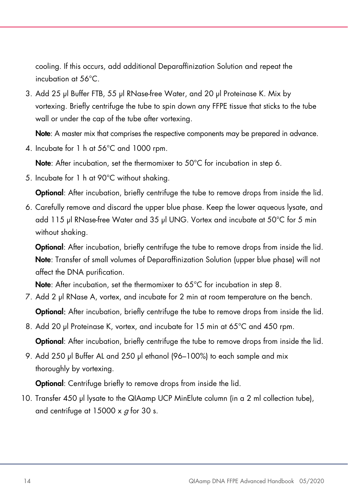cooling. If this occurs, add additional Deparaffinization Solution and repeat the incubation at 56°C.

3. Add 25 µl Buffer FTB, 55 µl RNase-free Water, and 20 µl Proteinase K. Mix by vortexing. Briefly centrifuge the tube to spin down any FFPE tissue that sticks to the tube wall or under the cap of the tube after vortexing.

Note: A master mix that comprises the respective components may be prepared in advance.

4. Incubate for 1 h at 56°C and 1000 rpm.

Note: After incubation, set the thermomixer to 50°C for incubation in step 6.

5. Incubate for 1 h at 90°C without shaking.

**Optional:** After incubation, briefly centrifuge the tube to remove drops from inside the lid.

6. Carefully remove and discard the upper blue phase. Keep the lower aqueous lysate, and add 115 µl RNase-free Water and 35 µl UNG. Vortex and incubate at 50°C for 5 min without shaking.

Optional: After incubation, briefly centrifuge the tube to remove drops from inside the lid. Note: Transfer of small volumes of Deparaffinization Solution (upper blue phase) will not affect the DNA purification.

Note: After incubation, set the thermomixer to 65°C for incubation in step 8.

- 7. Add 2 μl RNase A, vortex, and incubate for 2 min at room temperature on the bench. Optional: After incubation, briefly centrifuge the tube to remove drops from inside the lid.
- 8. Add 20 µl Proteinase K, vortex, and incubate for 15 min at 65°C and 450 rpm.

Optional: After incubation, briefly centrifuge the tube to remove drops from inside the lid.

9. Add 250 μl Buffer AL and 250 μl ethanol (96–100%) to each sample and mix thoroughly by vortexing.

**Optional**: Centrifuge briefly to remove drops from inside the lid.

10. Transfer 450 µl lysate to the QIAamp UCP MinElute column (in a 2 ml collection tube), and centrifuge at  $15000 \times a$  for 30 s.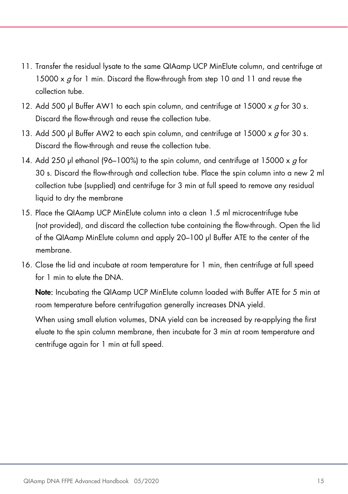- 11. Transfer the residual lysate to the same QIAamp UCP MinElute column, and centrifuge at 15000 x  $q$  for 1 min. Discard the flow-through from step 10 and 11 and reuse the collection tube.
- 12. Add 500 μl Buffer AW1 to each spin column, and centrifuge at 15000 x  $q$  for 30 s. Discard the flow-through and reuse the collection tube.
- 13. Add 500 μl Buffer AW2 to each spin column, and centrifuge at 15000 x  $g$  for 30 s. Discard the flow-through and reuse the collection tube.
- 14. Add 250 μl ethanol (96–100%) to the spin column, and centrifuge at 15000 x  $\sigma$  for 30 s. Discard the flow-through and collection tube. Place the spin column into a new 2 ml collection tube (supplied) and centrifuge for 3 min at full speed to remove any residual liquid to dry the membrane
- 15. Place the QIAamp UCP MinElute column into a clean 1.5 ml microcentrifuge tube (not provided), and discard the collection tube containing the flow-through. Open the lid of the QIAamp MinElute column and apply 20–100 μl Buffer ATE to the center of the membrane.
- 16. Close the lid and incubate at room temperature for 1 min, then centrifuge at full speed for 1 min to elute the DNA.

Note: Incubating the QIAamp UCP MinElute column loaded with Buffer ATE for 5 min at room temperature before centrifugation generally increases DNA yield.

When using small elution volumes, DNA yield can be increased by re-applying the first eluate to the spin column membrane, then incubate for 3 min at room temperature and centrifuge again for 1 min at full speed.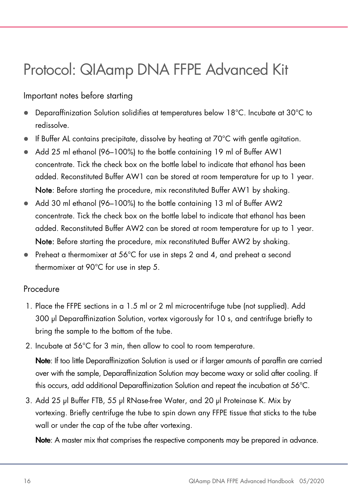### <span id="page-15-0"></span>Protocol: QIAamp DNA FFPE Advanced Kit

#### Important notes before starting

- Deparaffinization Solution solidifies at temperatures below 18°C. Incubate at 30°C to redissolve.
- $\bullet$  If Buffer AL contains precipitate, dissolve by heating at 70 $\degree$ C with gentle agitation.
- Add 25 ml ethanol (96–100%) to the bottle containing 19 ml of Buffer AW1 concentrate. Tick the check box on the bottle label to indicate that ethanol has been added. Reconstituted Buffer AW1 can be stored at room temperature for up to 1 year. Note: Before starting the procedure, mix reconstituted Buffer AW1 by shaking.
- Add 30 ml ethanol (96–100%) to the bottle containing 13 ml of Buffer AW2 concentrate. Tick the check box on the bottle label to indicate that ethanol has been added. Reconstituted Buffer AW2 can be stored at room temperature for up to 1 year. Note: Before starting the procedure, mix reconstituted Buffer AW2 by shaking.
- Preheat a thermomixer at 56°C for use in steps 2 and 4, and preheat a second thermomixer at 90°C for use in step 5.

#### Procedure

- 1. Place the FFPE sections in a 1.5 ml or 2 ml microcentrifuge tube (not supplied). Add 300 µl Deparaffinization Solution, vortex vigorously for 10 s, and centrifuge briefly to bring the sample to the bottom of the tube.
- 2. Incubate at 56°C for 3 min, then allow to cool to room temperature.

Note: If too little Deparaffinization Solution is used or if larger amounts of paraffin are carried over with the sample, Deparaffinization Solution may become waxy or solid after cooling. If this occurs, add additional Deparaffinization Solution and repeat the incubation at 56°C.

3. Add 25 µl Buffer FTB, 55 µl RNase-free Water, and 20 µl Proteinase K. Mix by vortexing. Briefly centrifuge the tube to spin down any FFPE tissue that sticks to the tube wall or under the cap of the tube after vortexing.

Note: A master mix that comprises the respective components may be prepared in advance.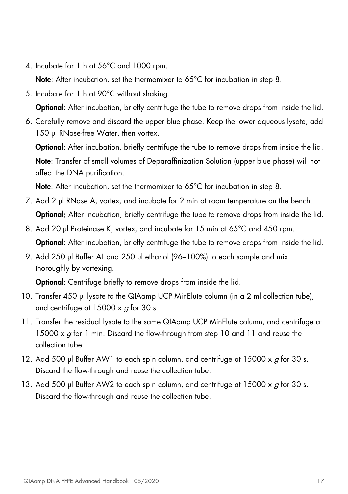4. Incubate for 1 h at 56°C and 1000 rpm.

Note: After incubation, set the thermomixer to 65°C for incubation in step 8.

5. Incubate for 1 h at 90°C without shaking.

Optional: After incubation, briefly centrifuge the tube to remove drops from inside the lid.

6. Carefully remove and discard the upper blue phase. Keep the lower aqueous lysate, add 150 µl RNase-free Water, then vortex.

Optional: After incubation, briefly centrifuge the tube to remove drops from inside the lid. Note: Transfer of small volumes of Deparaffinization Solution (upper blue phase) will not affect the DNA purification.

Note: After incubation, set the thermomixer to 65°C for incubation in step 8.

- 7. Add 2 μl RNase A, vortex, and incubate for 2 min at room temperature on the bench. **Optional:** After incubation, briefly centrifuge the tube to remove drops from inside the lid.
- 8. Add 20 µl Proteinase K, vortex, and incubate for 15 min at 65°C and 450 rpm. **Optional:** After incubation, briefly centrifuge the tube to remove drops from inside the lid.
- 9. Add 250 μl Buffer AL and 250 μl ethanol (96–100%) to each sample and mix thoroughly by vortexing.

**Optional:** Centrifuge briefly to remove drops from inside the lid.

- 10. Transfer 450 µl lysate to the QIAamp UCP MinElute column (in a 2 ml collection tube), and centrifuge at  $15000 \times q$  for 30 s.
- 11. Transfer the residual lysate to the same QIAamp UCP MinElute column, and centrifuge at 15000 x  $g$  for 1 min. Discard the flow-through from step 10 and 11 and reuse the collection tube.
- 12. Add 500 μl Buffer AW1 to each spin column, and centrifuge at  $15000 \times q$  for 30 s. Discard the flow-through and reuse the collection tube.
- 13. Add 500 μl Buffer AW2 to each spin column, and centrifuge at 15000 x  $\sigma$  for 30 s. Discard the flow-through and reuse the collection tube.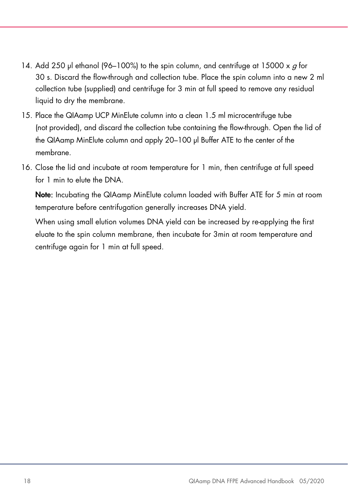- 14. Add 250 μl ethanol (96–100%) to the spin column, and centrifuge at 15000 x  $g$  for 30 s. Discard the flow-through and collection tube. Place the spin column into a new 2 ml collection tube (supplied) and centrifuge for 3 min at full speed to remove any residual liquid to dry the membrane.
- 15. Place the QIAamp UCP MinElute column into a clean 1.5 ml microcentrifuge tube (not provided), and discard the collection tube containing the flow-through. Open the lid of the QIAamp MinElute column and apply 20–100 μl Buffer ATE to the center of the membrane.
- 16. Close the lid and incubate at room temperature for 1 min, then centrifuge at full speed for 1 min to elute the DNA.

Note: Incubating the QIAamp MinElute column loaded with Buffer ATE for 5 min at room temperature before centrifugation generally increases DNA yield.

When using small elution volumes DNA yield can be increased by re-applying the first eluate to the spin column membrane, then incubate for 3min at room temperature and centrifuge again for 1 min at full speed.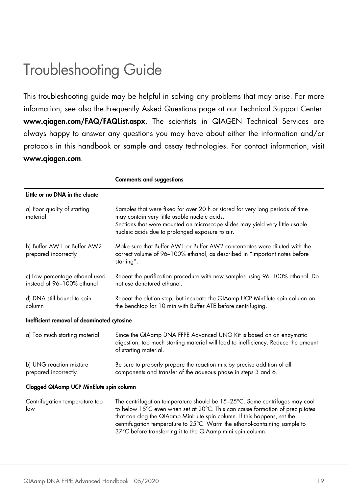### <span id="page-18-0"></span>Troubleshooting Guide

This troubleshooting guide may be helpful in solving any problems that may arise. For more information, see also the Frequently Asked Questions page at our Technical Support Center: www.qiagen.com/FAQ/FAQList.aspx. The scientists in QIAGEN Technical Services are always happy to answer any questions you may have about either the information and/or protocols in this handbook or sample and assay technologies. For contact information, visit www.qiagen.com.

Comments and suggestions

| Little or no DNA in the eluate                               |                                                                                                                                                                                                                                                                                                                                                                                     |  |
|--------------------------------------------------------------|-------------------------------------------------------------------------------------------------------------------------------------------------------------------------------------------------------------------------------------------------------------------------------------------------------------------------------------------------------------------------------------|--|
| a) Poor quality of starting<br>material                      | Samples that were fixed for over 20 h or stored for very long periods of time<br>may contain very little usable nucleic acids.<br>Sections that were mounted on microscope slides may yield very little usable<br>nucleic acids due to prolonged exposure to air.                                                                                                                   |  |
| b) Buffer AW1 or Buffer AW2<br>prepared incorrectly          | Make sure that Buffer AW1 or Buffer AW2 concentrates were diluted with the<br>correct volume of 96-100% ethanol, as described in "Important notes before<br>starting".                                                                                                                                                                                                              |  |
| c) Low percentage ethanol used<br>instead of 96-100% ethanol | Repeat the purification procedure with new samples using 96-100% ethanol. Do<br>not use denatured ethanol.                                                                                                                                                                                                                                                                          |  |
| d) DNA still bound to spin<br>column                         | Repeat the elution step, but incubate the QIAamp UCP MinElute spin column on<br>the benchtop for 10 min with Buffer ATE before centrifuging.                                                                                                                                                                                                                                        |  |
| Inefficient removal of deaminated cytosine                   |                                                                                                                                                                                                                                                                                                                                                                                     |  |
| a) Too much starting material                                | Since the QIAamp DNA FFPE Advanced UNG Kit is based on an enzymatic<br>digestion, too much starting material will lead to inefficiency. Reduce the amount<br>of starting material.                                                                                                                                                                                                  |  |
| b) UNG reaction mixture<br>prepared incorrectly              | Be sure to properly prepare the reaction mix by precise addition of all<br>components and transfer of the aqueous phase in steps 3 and 6.                                                                                                                                                                                                                                           |  |
| Clogged QIAamp UCP MinElute spin column                      |                                                                                                                                                                                                                                                                                                                                                                                     |  |
| Centrifugation temperature too<br>low                        | The centrifugation temperature should be 15-25°C. Some centrifuges may cool<br>to below 15°C even when set at 20°C. This can cause formation of precipitates<br>that can clog the QIAamp MinElute spin column. If this happens, set the<br>centrifugation temperature to 25°C. Warm the ethanol-containing sample to<br>37°C before transferring it to the QIAamp mini spin column. |  |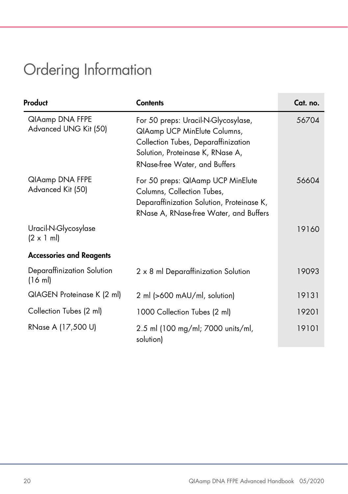## <span id="page-19-0"></span>Ordering Information

| Product                                           | <b>Contents</b>                                                                                                                                                                 | Cat. no. |
|---------------------------------------------------|---------------------------------------------------------------------------------------------------------------------------------------------------------------------------------|----------|
| QIAamp DNA FFPE<br>Advanced UNG Kit (50)          | For 50 preps: Uracil-N-Glycosylase,<br>QIAamp UCP MinElute Columns,<br>Collection Tubes, Deparaffinization<br>Solution, Proteinase K, RNase A,<br>RNase-free Water, and Buffers | 56704    |
| QIAamp DNA FFPE<br>Advanced Kit (50)              | For 50 preps: QIAamp UCP MinElute<br>Columns, Collection Tubes,<br>Deparaffinization Solution, Proteinase K,<br>RNase A, RNase-free Water, and Buffers                          | 56604    |
| Uracil-N-Glycosylase<br>$(2 \times 1 \text{ ml})$ |                                                                                                                                                                                 | 19160    |
| <b>Accessories and Reagents</b>                   |                                                                                                                                                                                 |          |
| Deparaffinization Solution<br>(16 ml)             | 2 x 8 ml Deparaffinization Solution                                                                                                                                             | 19093    |
| QIAGEN Proteinase K (2 ml)                        | 2 ml (>600 mAU/ml, solution)                                                                                                                                                    | 19131    |
| Collection Tubes (2 ml)                           | 1000 Collection Tubes (2 ml)                                                                                                                                                    | 19201    |
| RNase A (17,500 U)                                | 2.5 ml (100 mg/ml; 7000 units/ml,<br>solution)                                                                                                                                  | 19101    |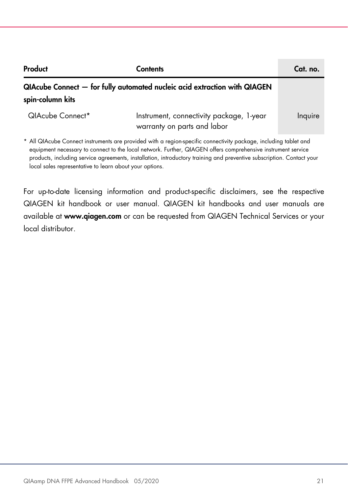| Product          | Contents                                                                  | Cat. no. |
|------------------|---------------------------------------------------------------------------|----------|
| spin-column kits | QIAcube Connect - for fully automated nucleic acid extraction with QIAGEN |          |
| QIAcube Connect* | Instrument, connectivity package, 1-year<br>warranty on parts and labor   | Inquire  |

\* All QIAcube Connect instruments are provided with a region-specific connectivity package, including tablet and equipment necessary to connect to the local network. Further, QIAGEN offers comprehensive instrument service products, including service agreements, installation, introductory training and preventive subscription. Contact your local sales representative to learn about your options.

<span id="page-20-0"></span>For up-to-date licensing information and product-specific disclaimers, see the respective QIAGEN kit handbook or user manual. QIAGEN kit handbooks and user manuals are available at www.qiagen.com or can be requested from QIAGEN Technical Services or your local distributor.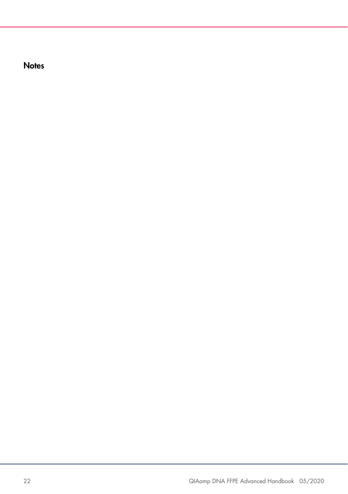**Notes**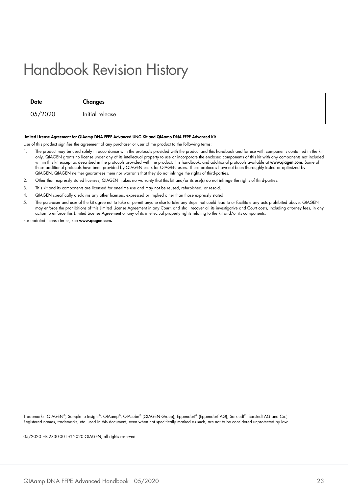### Handbook Revision History

| Date    | Changes         |
|---------|-----------------|
| 05/2020 | Initial release |

#### Limited License Agreement for QIAamp DNA FFPE Advanced UNG Kit and QIAamp DNA FFPE Advanced Kit

Use of this product signifies the agreement of any purchaser or user of the product to the following terms:

- 1. The product may be used solely in accordance with the protocols provided with the product and this handbook and for use with components contained in the kit only. QIAGEN grants no license under any of its intellectual property to use or incorporate the enclosed components of this kit with any components not included<br>within this kit except as described in the protocols provided these additional protocols have been provided by QIAGEN users for QIAGEN users. These protocols have not been thoroughly tested or optimized by QIAGEN. QIAGEN neither guarantees them nor warrants that they do not infringe the rights of third-parties.
- 2. Other than expressly stated licenses, QIAGEN makes no warranty that this kit and/or its use(s) do not infringe the rights of third-parties.
- 3. This kit and its components are licensed for one-time use and may not be reused, refurbished, or resold.
- 4. QIAGEN specifically disclaims any other licenses, expressed or implied other than those expressly stated.
- 5. The purchaser and user of the kit agree not to take or permit anyone else to take any steps that could lead to or facilitate any acts prohibited above. QIAGEN may entorce the prohibitions ot this Limited License Agreement in any Court, and shall recover all its investigative and Court costs, including attorney tees, in any<br>action to enforce this Limited License Agreement or any

For updated license terms, see www.aiagen.com.

Trademarks: QIAGEN®, Sample to Insight®, QIAamp®, QIAcube® (QIAGEN Group); Eppendorf® (Eppendorf AG);.Sarstedt® (Sarstedt AG and Co.) Registered names, trademarks, etc. used in this document, even when not specifically marked as such, are not to be considered unprotected by law

05/2020 HB-2730-001 © 2020 QIAGEN, all rights reserved.